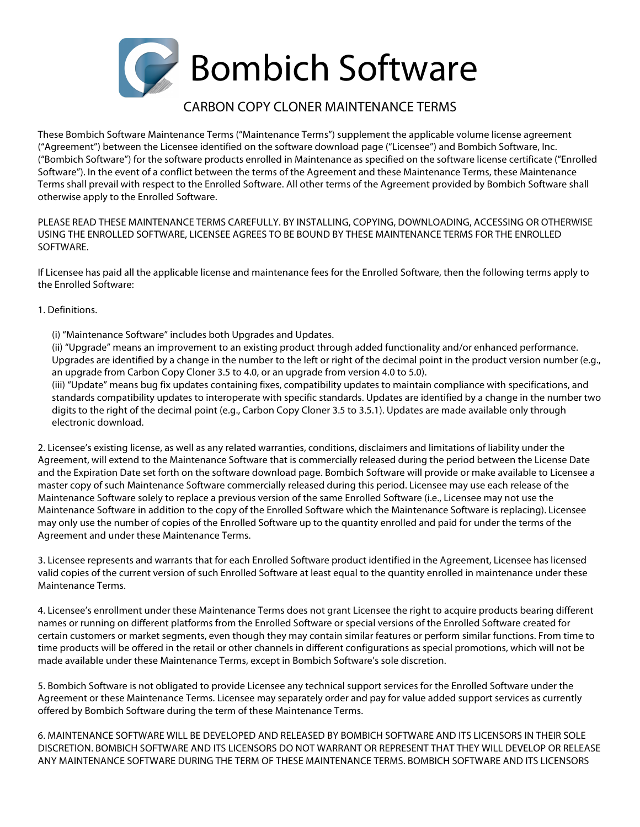

## CARBON COPY CLONER MAINTENANCE TERMS

These Bombich Software Maintenance Terms ("Maintenance Terms") supplement the applicable volume license agreement ("Agreement") between the Licensee identified on the software download page ("Licensee") and Bombich Software, Inc. ("Bombich Software") for the software products enrolled in Maintenance as specified on the software license certificate ("Enrolled Software"). In the event of a conflict between the terms of the Agreement and these Maintenance Terms, these Maintenance Terms shall prevail with respect to the Enrolled Software. All other terms of the Agreement provided by Bombich Software shall otherwise apply to the Enrolled Software.

PLEASE READ THESE MAINTENANCE TERMS CAREFULLY. BY INSTALLING, COPYING, DOWNLOADING, ACCESSING OR OTHERWISE USING THE ENROLLED SOFTWARE, LICENSEE AGREES TO BE BOUND BY THESE MAINTENANCE TERMS FOR THE ENROLLED SOFTWARE.

If Licensee has paid all the applicable license and maintenance fees for the Enrolled Software, then the following terms apply to the Enrolled Software:

## 1. Definitions.

(i) "Maintenance Software" includes both Upgrades and Updates.

(ii) "Upgrade" means an improvement to an existing product through added functionality and/or enhanced performance. Upgrades are identified by a change in the number to the left or right of the decimal point in the product version number (e.g., an upgrade from Carbon Copy Cloner 3.5 to 4.0, or an upgrade from version 4.0 to 5.0).

(iii) "Update" means bug fix updates containing fixes, compatibility updates to maintain compliance with specifications, and standards compatibility updates to interoperate with specific standards. Updates are identified by a change in the number two digits to the right of the decimal point (e.g., Carbon Copy Cloner 3.5 to 3.5.1). Updates are made available only through electronic download.

2. Licensee's existing license, as well as any related warranties, conditions, disclaimers and limitations of liability under the Agreement, will extend to the Maintenance Software that is commercially released during the period between the License Date and the Expiration Date set forth on the software download page. Bombich Software will provide or make available to Licensee a master copy of such Maintenance Software commercially released during this period. Licensee may use each release of the Maintenance Software solely to replace a previous version of the same Enrolled Software (i.e., Licensee may not use the Maintenance Software in addition to the copy of the Enrolled Software which the Maintenance Software is replacing). Licensee may only use the number of copies of the Enrolled Software up to the quantity enrolled and paid for under the terms of the Agreement and under these Maintenance Terms.

3. Licensee represents and warrants that for each Enrolled Software product identified in the Agreement, Licensee has licensed valid copies of the current version of such Enrolled Software at least equal to the quantity enrolled in maintenance under these Maintenance Terms.

4. Licensee's enrollment under these Maintenance Terms does not grant Licensee the right to acquire products bearing different names or running on different platforms from the Enrolled Software or special versions of the Enrolled Software created for certain customers or market segments, even though they may contain similar features or perform similar functions. From time to time products will be offered in the retail or other channels in different configurations as special promotions, which will not be made available under these Maintenance Terms, except in Bombich Software's sole discretion.

5. Bombich Software is not obligated to provide Licensee any technical support services for the Enrolled Software under the Agreement or these Maintenance Terms. Licensee may separately order and pay for value added support services as currently offered by Bombich Software during the term of these Maintenance Terms.

6. MAINTENANCE SOFTWARE WILL BE DEVELOPED AND RELEASED BY BOMBICH SOFTWARE AND ITS LICENSORS IN THEIR SOLE DISCRETION. BOMBICH SOFTWARE AND ITS LICENSORS DO NOT WARRANT OR REPRESENT THAT THEY WILL DEVELOP OR RELEASE ANY MAINTENANCE SOFTWARE DURING THE TERM OF THESE MAINTENANCE TERMS. BOMBICH SOFTWARE AND ITS LICENSORS